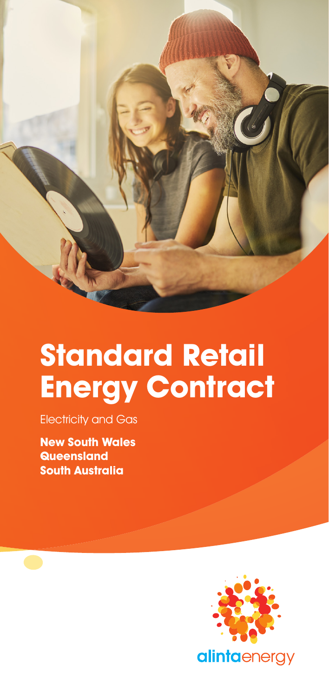

# **Standard Retail Energy Contract**

Electricity and Gas

**New South Wales Queensland South Australia**

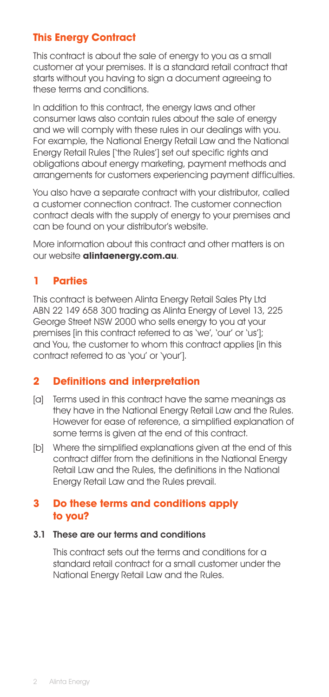# **This Energy Contract**

This contract is about the sale of energy to you as a small customer at your premises. It is a standard retail contract that starts without you having to sign a document agreeing to these terms and conditions.

In addition to this contract, the energy laws and other consumer laws also contain rules about the sale of energy and we will comply with these rules in our dealings with you. For example, the National Energy Retail Law and the National Energy Retail Rules ['the Rules'] set out specific rights and obligations about energy marketing, payment methods and arrangements for customers experiencing payment difficulties.

You also have a separate contract with your distributor, called a customer connection contract. The customer connection contract deals with the supply of energy to your premises and can be found on your distributor's website.

More information about this contract and other matters is on our website **alintaenergy.com.au**.

# **1 Parties**

This contract is between Alinta Energy Retail Sales Pty Ltd ABN 22 149 658 300 trading as Alinta Energy of Level 13, 225 George Street NSW 2000 who sells energy to you at your premises [in this contract referred to as 'we', 'our' or 'us']; and You, the customer to whom this contract applies [in this contract referred to as 'you' or 'your'].

# **2 Definitions and interpretation**

- [a] Terms used in this contract have the same meanings as they have in the National Energy Retail Law and the Rules. However for ease of reference, a simplified explanation of some terms is given at the end of this contract.
- [b] Where the simplified explanations given at the end of this contract differ from the definitions in the National Energy Retail Law and the Rules, the definitions in the National Energy Retail Law and the Rules prevail.

# **3 Do these terms and conditions apply to you?**

#### 3.1 These are our terms and conditions

This contract sets out the terms and conditions for a standard retail contract for a small customer under the National Energy Retail Law and the Rules.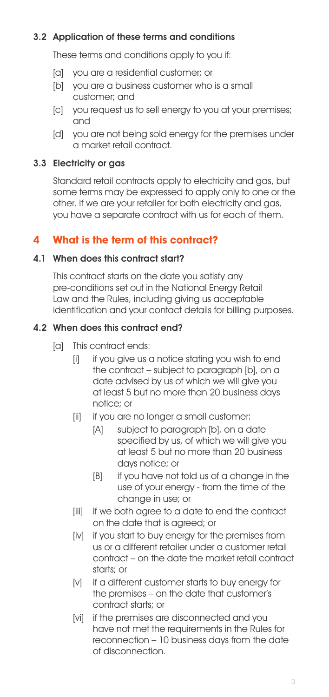# 3.2 Application of these terms and conditions

These terms and conditions apply to you if:

- [a] you are a residential customer; or
- [b] you are a business customer who is a small customer; and
- [c] you request us to sell energy to you at your premises; and
- [d] vou are not being sold energy for the premises under a market retail contract.

# 3.3 Electricity or gas

Standard retail contracts apply to electricity and gas, but some terms may be expressed to apply only to one or the other. If we are your retailer for both electricity and gas, you have a separate contract with us for each of them.

# **4 What is the term of this contract?**

# 4.1 When does this contract start?

This contract starts on the date you satisfy any pre-conditions set out in the National Energy Retail Law and the Rules, including giving us acceptable identification and your contact details for billing purposes.

## 4.2 When does this contract end?

- [a] This contract ends:
	- [i] if you give us a notice stating you wish to end the contract – subject to paragraph [b], on a date advised by us of which we will give you at least 5 but no more than 20 business days notice; or
	- [ii] if you are no longer a small customer:
		- [A] subject to paragraph [b], on a date specified by us, of which we will give you at least 5 but no more than 20 business days notice; or
		- [B] if you have not told us of a change in the use of your energy - from the time of the change in use; or
	- [iii] if we both agree to a date to end the contract on the date that is agreed; or
	- [iv] if you start to buy energy for the premises from us or a different retailer under a customer retail contract – on the date the market retail contract starts; or
	- [v] if a different customer starts to buy energy for the premises – on the date that customer's contract starts; or
	- [vi] if the premises are disconnected and you have not met the requirements in the Rules for reconnection – 10 business days from the date of disconnection.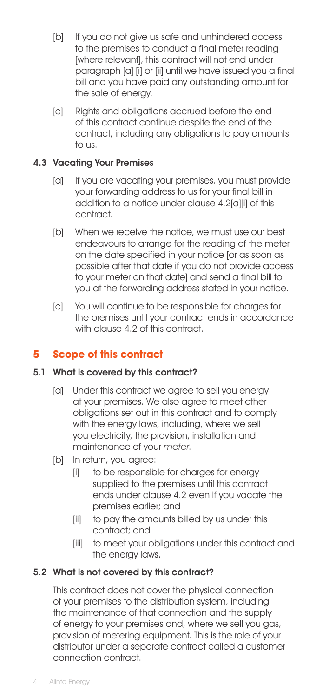- [b] If you do not give us safe and unhindered access to the premises to conduct a final meter reading [where relevant], this contract will not end under paragraph [a] [i] or [ii] until we have issued you a final bill and you have paid any outstanding amount for the sale of energy.
- [c] Rights and obligations accrued before the end of this contract continue despite the end of the contract, including any obligations to pay amounts to us.

# 4.3 Vacating Your Premises

- [a] If you are vacating your premises, you must provide your forwarding address to us for your final bill in addition to a notice under clause 4.2[a][i] of this contract.
- [b] When we receive the notice, we must use our best endeavours to arrange for the reading of the meter on the date specified in your notice [or as soon as possible after that date if you do not provide access to your meter on that date] and send a final bill to you at the forwarding address stated in your notice.
- [c] You will continue to be responsible for charges for the premises until your contract ends in accordance with clause 4.2 of this contract.

# **5 Scope of this contract**

#### 5.1 What is covered by this contract?

- [a] Under this contract we agree to sell you energy at your premises. We also agree to meet other obligations set out in this contract and to comply with the energy laws, including, where we sell you electricity, the provision, installation and maintenance of your meter.
- [b] In return, you agree:
	- [i] to be responsible for charges for energy supplied to the premises until this contract ends under clause 4.2 even if you vacate the premises earlier; and
	- [ii] to pay the amounts billed by us under this contract; and
	- [iii] to meet your obligations under this contract and the energy laws.

#### 5.2 What is not covered by this contract?

This contract does not cover the physical connection of your premises to the distribution system, including the maintenance of that connection and the supply of energy to your premises and, where we sell you gas, provision of metering equipment. This is the role of your distributor under a separate contract called a customer connection contract.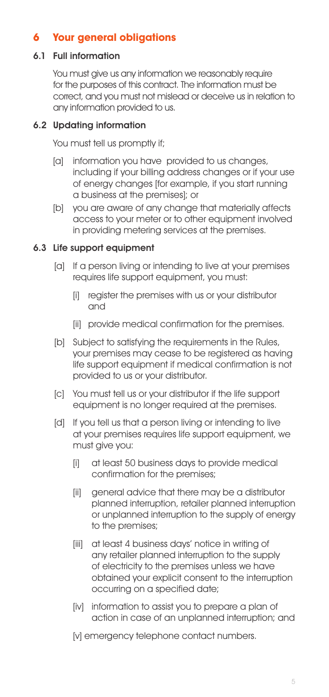# **6 Your general obligations**

## 6.1 Full information

You must give us any information we reasonably require for the purposes of this contract. The information must be correct, and you must not mislead or deceive us in relation to any information provided to us.

# 6.2 Updating information

You must tell us promptly if;

- [a] information you have provided to us changes, including if your billing address changes or if your use of energy changes [for example, if you start running a business at the premises]; or
- [b] you are aware of any change that materially affects access to your meter or to other equipment involved in providing metering services at the premises.

## 6.3 Life support equipment

- [a] If a person living or intending to live at your premises requires life support equipment, you must:
	- [i] register the premises with us or your distributor and
	- [ii] provide medical confirmation for the premises.
- [b] Subject to satisfying the requirements in the Rules, your premises may cease to be registered as having life support equipment if medical confirmation is not provided to us or your distributor.
- [c] You must tell us or your distributor if the life support equipment is no longer required at the premises.
- [d] If you tell us that a person living or intending to live at your premises requires life support equipment, we must give you:
	- [i] at least 50 business days to provide medical confirmation for the premises;
	- [ii] general advice that there may be a distributor planned interruption, retailer planned interruption or unplanned interruption to the supply of energy to the premises;
	- [iii] at least 4 business days' notice in writing of any retailer planned interruption to the supply of electricity to the premises unless we have obtained your explicit consent to the interruption occurring on a specified date;
	- [iv] information to assist you to prepare a plan of action in case of an unplanned interruption; and
	- [v] emergency telephone contact numbers.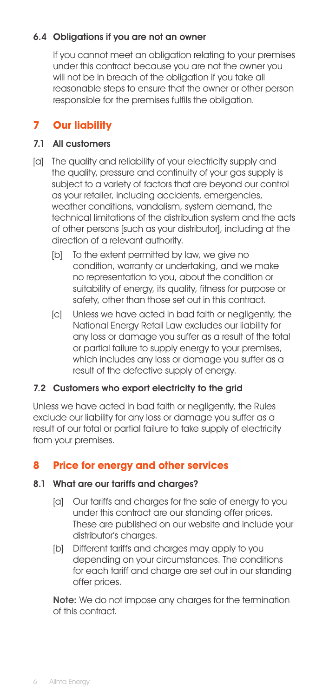# 6.4 Obligations if you are not an owner

If you cannot meet an obligation relating to your premises under this contract because you are not the owner you will not be in breach of the obligation if you take all reasonable steps to ensure that the owner or other person responsible for the premises fulfils the obligation.

# **7 Our liability**

#### 7.1 All customers

- [a] The quality and reliability of your electricity supply and the quality, pressure and continuity of your gas supply is subject to a variety of factors that are beyond our control as your retailer, including accidents, emergencies, weather conditions, vandalism, system demand, the technical limitations of the distribution system and the acts of other persons [such as your distributor], including at the direction of a relevant authority.
	- [b] To the extent permitted by law, we give no condition, warranty or undertaking, and we make no representation to you, about the condition or suitability of energy, its quality, fitness for purpose or safety, other than those set out in this contract.
	- [c] Unless we have acted in bad faith or negligently, the National Energy Retail Law excludes our liability for any loss or damage you suffer as a result of the total or partial failure to supply energy to your premises, which includes any loss or damage you suffer as a result of the defective supply of energy.

#### 7.2 Customers who export electricity to the grid

Unless we have acted in bad faith or negligently, the Rules exclude our liability for any loss or damage you suffer as a result of our total or partial failure to take supply of electricity from your premises.

# **8 Price for energy and other services**

#### 8.1 What are our tariffs and charges?

- [a] Our tariffs and charges for the sale of energy to you under this contract are our standing offer prices. These are published on our website and include your distributor's charges.
- [b] Different tariffs and charges may apply to you depending on your circumstances. The conditions for each tariff and charge are set out in our standing offer prices.

Note: We do not impose any charges for the termination of this contract.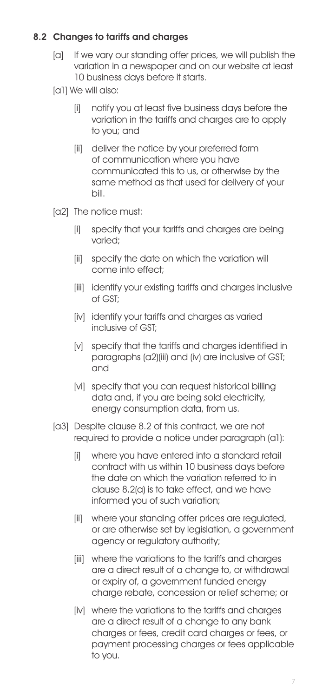# 8.2 Changes to tariffs and charges

[a] If we vary our standing offer prices, we will publish the variation in a newspaper and on our website at least 10 business days before it starts.

[a1] We will also:

- [i] notify you at least five business days before the variation in the tariffs and charges are to apply to you; and
- [ii] deliver the notice by your preferred form of communication where you have communicated this to us, or otherwise by the same method as that used for delivery of your bill.
- [a2] The notice must:
	- [i] specify that your tariffs and charges are being varied;
	- [ii] specify the date on which the variation will come into effect;
	- [iii] identify your existing tariffs and charges inclusive of GST;
	- [iv] identify your tariffs and charges as varied inclusive of GST;
	- [v] specify that the tariffs and charaes identified in paragraphs (a2)(iii) and (iv) are inclusive of GST; and
	- [vi] specify that you can request historical billing data and, if you are being sold electricity, energy consumption data, from us.
- [a3] Despite clause 8.2 of this contract, we are not required to provide a notice under paragraph (a1):
	- [i] where you have entered into a standard retail contract with us within 10 business days before the date on which the variation referred to in clause 8.2(a) is to take effect, and we have informed you of such variation;
	- [ii] where your standing offer prices are regulated, or are otherwise set by legislation, a government agency or regulatory authority;
	- [iii] where the variations to the tariffs and charges are a direct result of a change to, or withdrawal or expiry of, a government funded energy charge rebate, concession or relief scheme; or
	- [iv] where the variations to the tariffs and charges are a direct result of a change to any bank charges or fees, credit card charges or fees, or payment processing charges or fees applicable to you.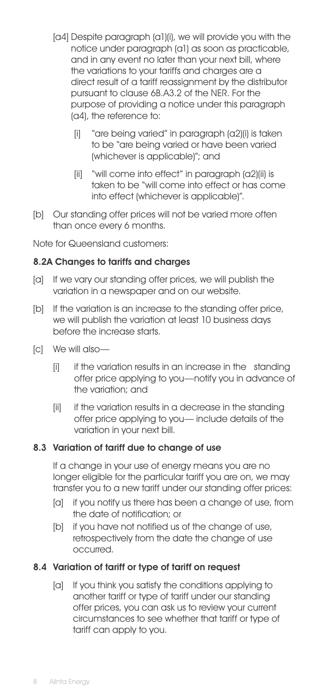- [a4] Despite paragraph (a1)(i), we will provide you with the notice under paragraph (a1) as soon as practicable, and in any event no later than your next bill, where the variations to your tariffs and charges are a direct result of a tariff reassignment by the distributor pursuant to clause 6B.A3.2 of the NER. For the purpose of providing a notice under this paragraph (a4), the reference to:
	- [i] "are being varied" in paragraph (a2)(i) is taken to be "are being varied or have been varied (whichever is applicable)"; and
	- [ii] "will come into effect" in paragraph (a2)(ii) is taken to be "will come into effect or has come into effect (whichever is applicable)".
- [b] Our standing offer prices will not be varied more often than once every 6 months.

Note for Queensland customers:

#### 8.2A Changes to tariffs and charges

- [a] If we vary our standing offer prices, we will publish the variation in a newspaper and on our website.
- [b] If the variation is an increase to the standing offer price, we will publish the variation at least 10 business days before the increase starts.
- [c] We will also—
	- [i] if the variation results in an increase in the standing offer price applying to you—notify you in advance of the variation; and
	- [ii] if the variation results in a decrease in the standing offer price applying to you— include details of the variation in your next bill.

#### 8.3 Variation of tariff due to change of use

If a change in your use of energy means you are no longer eligible for the particular tariff you are on, we may transfer you to a new tariff under our standing offer prices:

- [a] if you notify us there has been a change of use, from the date of notification; or
- [b] if you have not notified us of the change of use, retrospectively from the date the change of use occurred.

#### 8.4 Variation of tariff or type of tariff on request

[a] If you think you satisfy the conditions applying to another tariff or type of tariff under our standing offer prices, you can ask us to review your current circumstances to see whether that tariff or type of tariff can apply to you.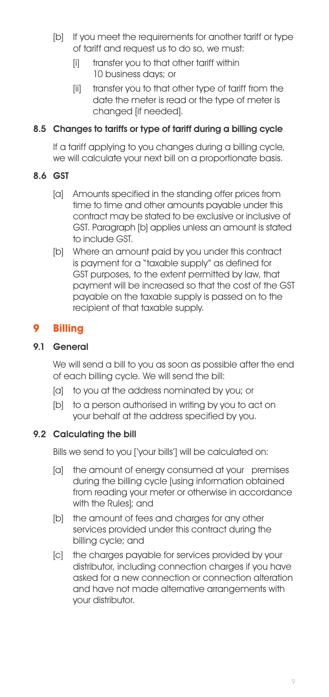- [b] If you meet the requirements for another tariff or type of tariff and request us to do so, we must:
	- [i] transfer you to that other tariff within 10 business days; or
	- [ii] transfer you to that other type of tariff from the date the meter is read or the type of meter is changed [if needed].

# 8.5 Changes to tariffs or type of tariff during a billing cycle

If a tariff applying to you changes during a billing cycle, we will calculate your next bill on a proportionate basis.

## 8.6 GST

- [a] Amounts specified in the standing offer prices from time to time and other amounts payable under this contract may be stated to be exclusive or inclusive of GST. Paragraph [b] applies unless an amount is stated to include GST.
- [b] Where an amount paid by you under this contract is payment for a "taxable supply" as defined for GST purposes, to the extent permitted by law, that payment will be increased so that the cost of the GST payable on the taxable supply is passed on to the recipient of that taxable supply.

# **9 Billing**

#### 91 General

We will send a bill to you as soon as possible after the end of each billing cycle. We will send the bill:

- [a] to you at the address nominated by you; or
- [b] to a person authorised in writing by you to act on your behalf at the address specified by you.

# 9.2 Calculating the bill

Bills we send to you ['your bills'] will be calculated on:

- [a] the amount of energy consumed at your premises during the billing cycle [using information obtained from reading your meter or otherwise in accordance with the Rules]; and
- [b] the amount of fees and charges for any other services provided under this contract during the billing cycle; and
- [c] the charges payable for services provided by your distributor, including connection charges if you have asked for a new connection or connection alteration and have not made alternative arrangements with your distributor.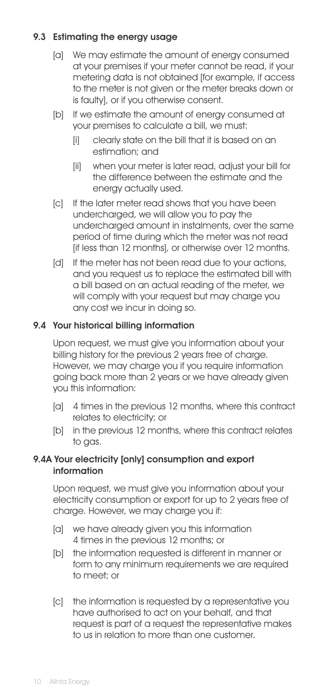# 9.3 Estimating the energy usage

- [a] We may estimate the amount of energy consumed at your premises if your meter cannot be read, if your metering data is not obtained [for example, if access to the meter is not given or the meter breaks down or is faulty], or if you otherwise consent.
- [b] If we estimate the amount of energy consumed at your premises to calculate a bill, we must:
	- [i] clearly state on the bill that it is based on an estimation; and
	- [ii] when your meter is later read, adjust your bill for the difference between the estimate and the energy actually used.
- [c] If the later meter read shows that you have been undercharged, we will allow you to pay the undercharged amount in instalments, over the same period of time during which the meter was not read [if less than 12 months], or otherwise over 12 months.
- [d] If the meter has not been read due to your actions, and you request us to replace the estimated bill with a bill based on an actual reading of the meter, we will comply with your request but may charge you any cost we incur in doing so.

## 9.4 Your historical billing information

Upon request, we must give you information about your billing history for the previous 2 years free of charge. However, we may charge you if you require information going back more than 2 years or we have already given you this information:

- [a] 4 times in the previous 12 months, where this contract relates to electricity; or
- [b] in the previous 12 months, where this contract relates to gas.

#### 9.4A Your electricity [only] consumption and export information

Upon request, we must give you information about your electricity consumption or export for up to 2 years free of charge. However, we may charge you if:

- [a] we have already aiven you this information 4 times in the previous 12 months; or
- [b] the information requested is different in manner or form to any minimum requirements we are required to meet; or
- [c] the information is requested by a representative you have authorised to act on your behalf, and that request is part of a request the representative makes to us in relation to more than one customer.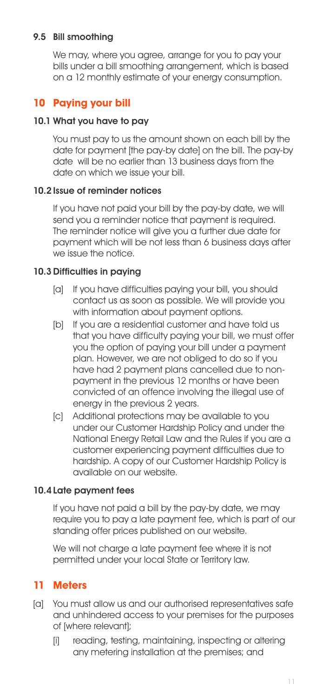## 9.5 Bill smoothing

We may, where you agree, arrange for you to pay your bills under a bill smoothing arrangement, which is based on a 12 monthly estimate of your energy consumption.

# **10 Paying your bill**

## 10.1 What you have to pay

You must pay to us the amount shown on each bill by the date for payment [the pay-by date] on the bill. The pay-by date will be no earlier than 13 business days from the date on which we issue your bill.

## 10.2Issue of reminder notices

If you have not paid your bill by the pay-by date, we will send you a reminder notice that payment is required. The reminder notice will give you a further due date for payment which will be not less than 6 business days after we issue the notice.

## 10.3Difficulties in paying

- [a] If you have difficulties paying your bill, you should contact us as soon as possible. We will provide you with information about payment options.
- [b] If you are a residential customer and have told us that you have difficulty paying your bill, we must offer you the option of paying your bill under a payment plan. However, we are not obliged to do so if you have had 2 payment plans cancelled due to nonpayment in the previous 12 months or have been convicted of an offence involving the illegal use of energy in the previous 2 years.
- [c] Additional protections may be available to you under our Customer Hardship Policy and under the National Energy Retail Law and the Rules if you are a customer experiencing payment difficulties due to hardship. A copy of our Customer Hardship Policy is available on our website.

#### 10.4 Late payment fees

If you have not paid a bill by the pay-by date, we may require you to pay a late payment fee, which is part of our standing offer prices published on our website.

We will not charge a late payment fee where it is not permitted under your local State or Territory law.

# **11 Meters**

- [a] You must allow us and our authorised representatives safe and unhindered access to your premises for the purposes of [where relevant];
	- [i] reading, testing, maintaining, inspecting or altering any metering installation at the premises; and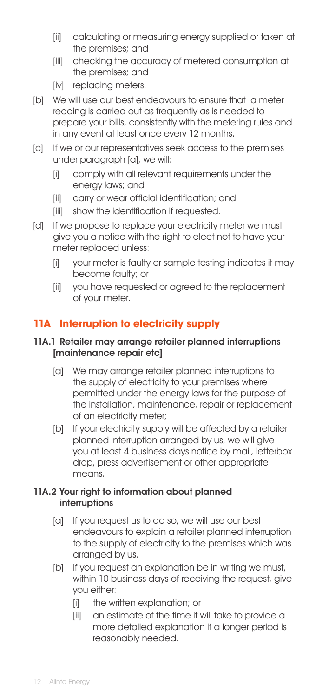- [ii] calculating or measuring energy supplied or taken at the premises; and
- [iii] checking the accuracy of metered consumption at the premises; and
- [iv] replacing meters.
- [b] We will use our best endeavours to ensure that a meter reading is carried out as frequently as is needed to prepare your bills, consistently with the metering rules and in any event at least once every 12 months.
- [c] If we or our representatives seek access to the premises under paragraph [a], we will:
	- [i] comply with all relevant requirements under the energy laws; and
	- [ii] carry or wear official identification; and
	- [iii] show the identification if requested.
- [d] If we propose to replace your electricity meter we must give you a notice with the right to elect not to have your meter replaced unless:
	- [i] your meter is faulty or sample testing indicates it may become faulty; or
	- [ii] you have requested or agreed to the replacement of your meter.

# **11A Interruption to electricity supply**

#### 11A.1 Retailer may arrange retailer planned interruptions [maintenance repair etc]

- [a] We may arrange retailer planned interruptions to the supply of electricity to your premises where permitted under the energy laws for the purpose of the installation, maintenance, repair or replacement of an electricity meter;
- [b] If your electricity supply will be affected by a retailer planned interruption arranged by us, we will give you at least 4 business days notice by mail, letterbox drop, press advertisement or other appropriate means.

#### 11A.2 Your right to information about planned interruptions

- [a] If you request us to do so, we will use our best endeavours to explain a retailer planned interruption to the supply of electricity to the premises which was arranged by us.
- [b] If you request an explanation be in writing we must, within 10 business days of receiving the request, give you either:
	- [i] the written explanation; or
	- [ii] an estimate of the time it will take to provide a more detailed explanation if a longer period is reasonably needed.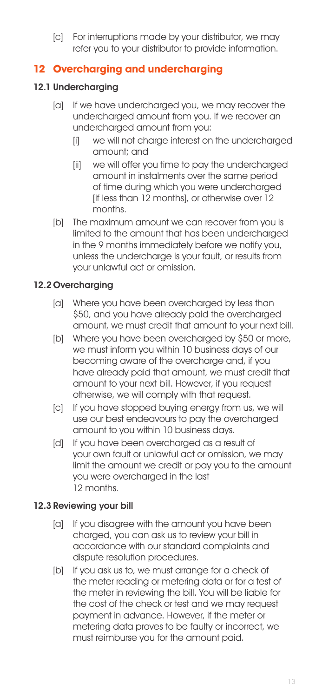[c] For interruptions made by your distributor, we may refer you to your distributor to provide information.

# **12 Overcharging and undercharging**

# 12.1 Undercharaina

- [a] If we have undercharged you, we may recover the undercharged amount from you. If we recover an undercharged amount from you:
	- [i] we will not charge interest on the undercharged amount; and
	- [ii] we will offer you time to pay the undercharged amount in instalments over the same period of time during which you were undercharged [if less than 12 months], or otherwise over 12 months.
- [b] The maximum amount we can recover from you is limited to the amount that has been undercharged in the 9 months immediately before we notify you, unless the undercharge is your fault, or results from your unlawful act or omission.

# 12.2Overcharging

- [a] Where you have been overcharged by less than \$50, and you have already paid the overcharged amount, we must credit that amount to your next bill.
- [b] Where you have been overcharged by \$50 or more, we must inform you within 10 business days of our becoming aware of the overcharge and, if you have already paid that amount, we must credit that amount to your next bill. However, if you request otherwise, we will comply with that request.
- [c] If you have stopped buying energy from us, we will use our best endeavours to pay the overcharged amount to you within 10 business days.
- [d] If you have been overcharged as a result of your own fault or unlawful act or omission, we may limit the amount we credit or pay you to the amount you were overcharged in the last 12 months.

# 12.3 Reviewing your bill

- [a] If you disagree with the amount you have been charged, you can ask us to review your bill in accordance with our standard complaints and dispute resolution procedures.
- [b] If you ask us to, we must arrange for a check of the meter reading or metering data or for a test of the meter in reviewing the bill. You will be liable for the cost of the check or test and we may request payment in advance. However, if the meter or metering data proves to be faulty or incorrect, we must reimburse you for the amount paid.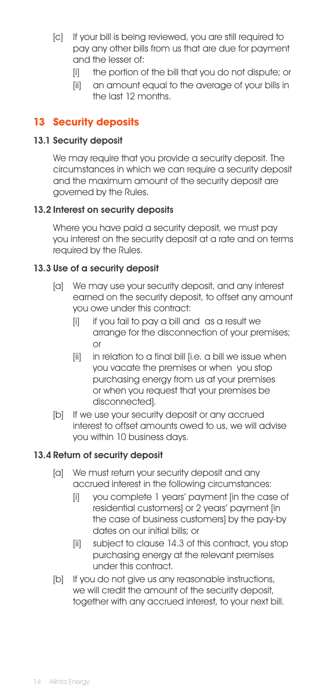- [c] If your bill is being reviewed, you are still required to pay any other bills from us that are due for payment and the lesser of:
	- [i] the portion of the bill that you do not dispute; or
	- [ii] an amount equal to the average of your bills in the last 12 months.

# **13 Security deposits**

#### 13.1 Security deposit

We may require that you provide a security deposit. The circumstances in which we can require a security deposit and the maximum amount of the security deposit are governed by the Rules.

#### 13.2 Interest on security deposits

Where you have paid a security deposit, we must pay you interest on the security deposit at a rate and on terms required by the Rules.

## 13.3 Use of a security deposit

- [a] We may use your security deposit, and any interest earned on the security deposit, to offset any amount you owe under this contract:
	- [i] if you fail to pay a bill and as a result we arrange for the disconnection of your premises; or
	- [ii] in relation to a final bill [i.e. a bill we issue when you vacate the premises or when you stop purchasing energy from us at your premises or when you request that your premises be disconnected].
- [b] If we use your security deposit or any accrued interest to offset amounts owed to us, we will advise you within 10 business days.

#### 13.4 Return of security deposit

- [a] We must return your security deposit and any accrued interest in the following circumstances:
	- [i] you complete 1 years' payment [in the case of residential customers] or 2 years' payment [in the case of business customers] by the pay-by dates on our initial bills; or
	- [ii] subject to clause 14.3 of this contract, you stop purchasing energy at the relevant premises under this contract.
- [b] If you do not aive us any reasonable instructions, we will credit the amount of the security deposit. together with any accrued interest, to your next bill.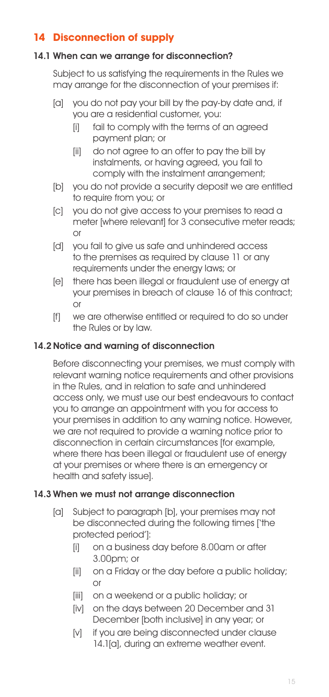# **14 Disconnection of supply**

#### 14.1 When can we arrange for disconnection?

Subject to us satisfying the requirements in the Rules we may arrange for the disconnection of your premises if:

- [a] you do not pay your bill by the pay-by date and, if you are a residential customer, you:
	- [i] fail to comply with the terms of an agreed payment plan; or
	- [ii] do not agree to an offer to pay the bill by instalments, or having agreed, you fail to comply with the instalment arrangement;
- [b] you do not provide a security deposit we are entitled to require from you; or
- [c] you do not give access to your premises to read a meter [where relevant] for 3 consecutive meter reads; or
- [d] you fail to give us safe and unhindered access to the premises as required by clause 11 or any requirements under the energy laws; or
- [e] there has been illegal or fraudulent use of energy at your premises in breach of clause 16 of this contract; or
- [f] we are otherwise entitled or required to do so under the Rules or by law.

# 14.2Notice and warning of disconnection

Before disconnecting your premises, we must comply with relevant warning notice requirements and other provisions in the Rules, and in relation to safe and unhindered access only, we must use our best endeavours to contact you to arrange an appointment with you for access to your premises in addition to any warning notice. However, we are not required to provide a warning notice prior to disconnection in certain circumstances [for example, where there has been illegal or fraudulent use of energy at your premises or where there is an emergency or health and safety issue].

# 14.3 When we must not arrange disconnection

- [a] Subject to paragraph [b], your premises may not be disconnected during the following times ['the protected period']:
	- [i] on a business day before 8.00am or after 3.00pm; or
	- [ii] on a Friday or the day before a public holiday; or
	- [iii] on a weekend or a public holiday; or
	- [iv] on the days between 20 December and 31 December [both inclusive] in any year; or
	- [v] if you are being disconnected under clause 14.1[a], during an extreme weather event.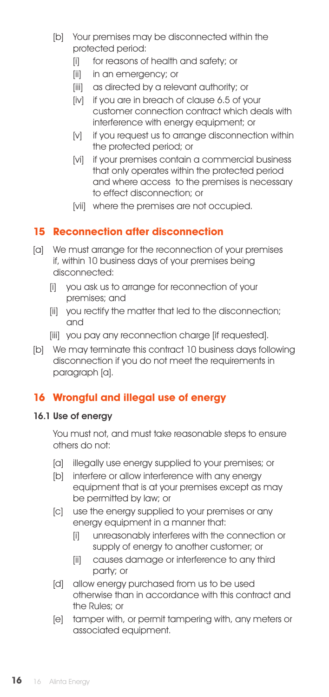- [b] Your premises may be disconnected within the protected period:
	- [i] for reasons of health and safety; or
	- [ii] in an emergency; or
	- [iii] as directed by a relevant authority; or
	- [iv] if you are in breach of clause 6.5 of your customer connection contract which deals with interference with energy equipment; or
	- [v] if you request us to arrange disconnection within the protected period; or
	- [vi] if your premises contain a commercial business that only operates within the protected period and where access to the premises is necessary to effect disconnection; or
	- [vii] where the premises are not occupied.

# **15 Reconnection after disconnection**

- [a] We must arrange for the reconnection of your premises if, within 10 business days of your premises being disconnected:
	- [i] you ask us to arrange for reconnection of your premises; and
	- [ii] you rectify the matter that led to the disconnection; and
	- [iii] you pay any reconnection charge [if requested].
- [b] We may terminate this contract 10 business days following disconnection if you do not meet the requirements in paragraph [a].

# **16 Wrongful and illegal use of energy**

#### 16.1 Use of energy

You must not, and must take reasonable steps to ensure others do not:

- [a] illegally use energy supplied to your premises; or
- [b] interfere or allow interference with any energy equipment that is at your premises except as may be permitted by law; or
- [c] use the energy supplied to your premises or any energy equipment in a manner that:
	- [i] unreasonably interferes with the connection or supply of energy to another customer; or
	- [ii] causes damage or interference to any third party; or
- [d] allow energy purchased from us to be used otherwise than in accordance with this contract and the Rules; or
- [e] tamper with, or permit tampering with, any meters or associated equipment.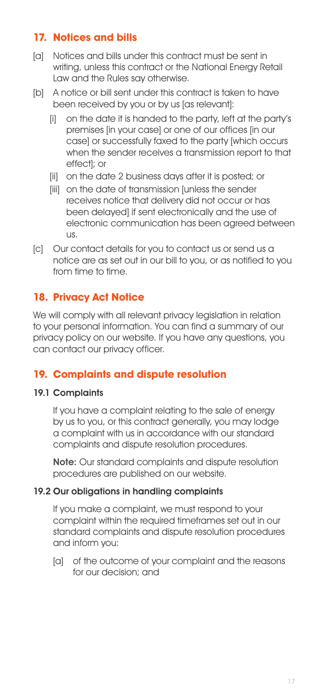# **17. Notices and bills**

- [a] Notices and bills under this contract must be sent in writing, unless this contract or the National Energy Retail Law and the Rules say otherwise.
- [b] A notice or bill sent under this contract is taken to have been received by you or by us [as relevant]:
	- [i] on the date it is handed to the party, left at the party's premises [in your case] or one of our offices [in our case] or successfully faxed to the party [which occurs when the sender receives a transmission report to that effect]; or
	- [ii] on the date 2 business days after it is posted; or
	- [iii] on the date of transmission [unless the sender receives notice that delivery did not occur or has been delayed] if sent electronically and the use of electronic communication has been agreed between us.
- [c] Our contact details for you to contact us or send us a notice are as set out in our bill to you, or as notified to you from time to time.

# **18. Privacy Act Notice**

We will comply with all relevant privacy legislation in relation to your personal information. You can find a summary of our privacy policy on our website. If you have any questions, you can contact our privacy officer.

# **19. Complaints and dispute resolution**

# 19.1 Complaints

If you have a complaint relating to the sale of energy by us to you, or this contract generally, you may lodge a complaint with us in accordance with our standard complaints and dispute resolution procedures.

Note: Our standard complaints and dispute resolution procedures are published on our website.

#### 19.2 Our obligations in handling complaints

If you make a complaint, we must respond to your complaint within the required timeframes set out in our standard complaints and dispute resolution procedures and inform you:

[a] of the outcome of your complaint and the reasons for our decision; and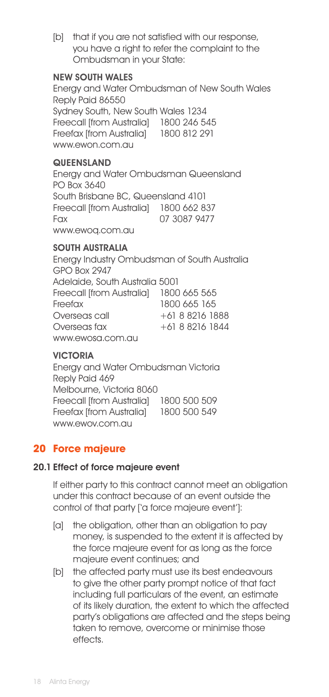[b] that if you are not satisfied with our response, you have a right to refer the complaint to the Ombudsman in your State:

#### NEW SOUTH WALES

Energy and Water Ombudsman of New South Wales Reply Paid 86550 Sydney South, New South Wales 1234 Freecall [from Australia] 1800 246 545 Freefax [from Australia] 1800 812 291 www.ewon.com.au

#### **QUEENSLAND**

Energy and Water Ombudsman Queensland PO Box 3640 South Brisbane BC, Queensland 4101 Freecall [from Australia] 1800 662 837 Fax 07 3087 9477 www.ewoq.com.au

#### SOUTH AUSTRALIA

Energy Industry Ombudsman of South Australia GPO Box 2947 Adelaide, South Australia 5001 Freecall [from Australia] 1800 665 565 Freefax 1800 665 165 Overseas call +61 8 8216 1888 Overseas fax +61 8 8216 1844 www.ewosa.com.au

#### VICTORIA

Energy and Water Ombudsman Victoria Reply Paid 469 Melbourne, Victoria 8060 Freecall [from Australia] 1800 500 509 Freefax [from Australia] 1800 500 549 www.ewov.com.au

# **20 Force majeure**

#### 20.1 Effect of force majeure event

If either party to this contract cannot meet an obligation under this contract because of an event outside the control of that party ['a force majeure event']:

- [a] the obligation, other than an obligation to pay money, is suspended to the extent it is affected by the force majeure event for as long as the force majeure event continues; and
- [b] the affected party must use its best endeavours to give the other party prompt notice of that fact including full particulars of the event, an estimate of its likely duration, the extent to which the affected party's obligations are affected and the steps being taken to remove, overcome or minimise those effects.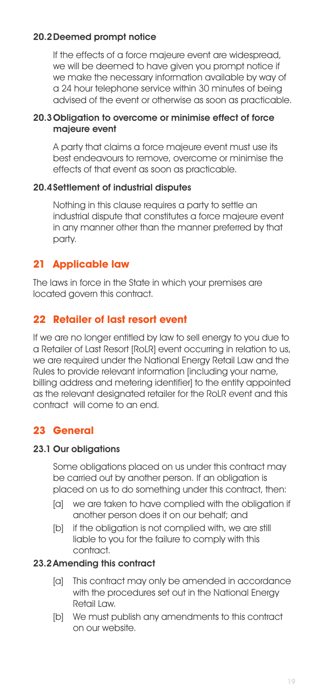# 20.2Deemed prompt notice

If the effects of a force majeure event are widespread, we will be deemed to have given you prompt notice if we make the necessary information available by way of a 24 hour telephone service within 30 minutes of being advised of the event or otherwise as soon as practicable.

#### 20.3 Obligation to overcome or minimise effect of force majeure event

A party that claims a force majeure event must use its best endeavours to remove, overcome or minimise the effects of that event as soon as practicable.

# 20.4Settlement of industrial disputes

Nothing in this clause requires a party to settle an industrial dispute that constitutes a force majeure event in any manner other than the manner preferred by that party.

# **21 Applicable law**

The laws in force in the State in which your premises are located govern this contract.

# **22 Retailer of last resort event**

If we are no longer entitled by law to sell energy to you due to a Retailer of Last Resort [RoLR] event occurring in relation to us, we are required under the National Energy Retail Law and the Rules to provide relevant information [including your name, billing address and metering identifier] to the entity appointed as the relevant designated retailer for the RoLR event and this contract will come to an end.

# **23 General**

# 23.1 Our obligations

Some obligations placed on us under this contract may be carried out by another person. If an obligation is placed on us to do something under this contract, then:

- [a] we are taken to have complied with the obligation if another person does it on our behalf; and
- [b] if the obligation is not complied with, we are still liable to you for the failure to comply with this contract.

# 23.2Amending this contract

- [a] This contract may only be amended in accordance with the procedures set out in the National Energy Retail Law.
- [b] We must publish any amendments to this contract on our website.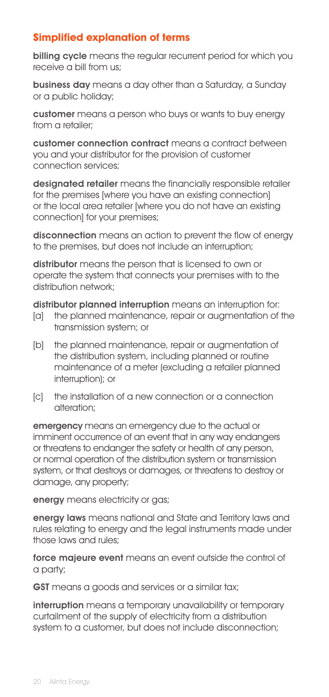# **Simplified explanation of terms**

billing cycle means the regular recurrent period for which you receive a bill from us;

business day means a day other than a Saturday, a Sunday or a public holiday;

customer means a person who buys or wants to buy energy from a retailer;

customer connection contract means a contract between you and your distributor for the provision of customer connection services;

designated retailer means the financially responsible retailer for the premises [where you have an existing connection] or the local area retailer [where you do not have an existing connection] for your premises;

disconnection means an action to prevent the flow of energy to the premises, but does not include an interruption;

distributor means the person that is licensed to own or operate the system that connects your premises with to the distribution network;

distributor planned interruption means an interruption for:

- [a] the planned maintenance, repair or augmentation of the transmission system; or
- [b] the planned maintenance, repair or augmentation of the distribution system, including planned or routine maintenance of a meter (excluding a retailer planned interruption); or
- [c] the installation of a new connection or a connection alteration;

emergency means an emergency due to the actual or imminent occurrence of an event that in any way endangers or threatens to endanger the safety or health of any person, or normal operation of the distribution system or transmission system, or that destroys or damages, or threatens to destroy or damage, any property;

energy means electricity or gas;

energy laws means national and State and Territory laws and rules relating to energy and the legal instruments made under those laws and rules;

force majeure event means an event outside the control of a party;

**GST** means a goods and services or a similar tax;

interruption means a temporary unavailability or temporary curtailment of the supply of electricity from a distribution system to a customer, but does not include disconnection;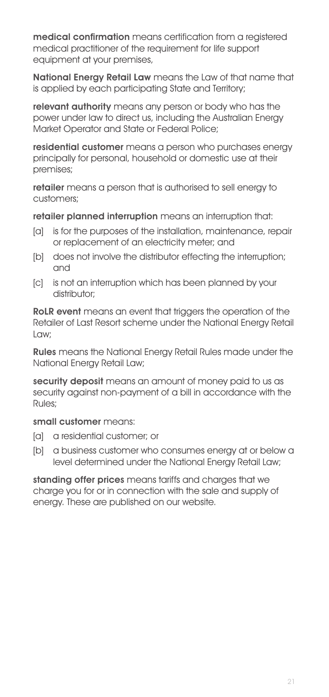medical confirmation means certification from a reaistered medical practitioner of the requirement for life support equipment at your premises,

National Energy Retail Law means the Law of that name that is applied by each participating State and Territory;

relevant authority means any person or body who has the power under law to direct us, including the Australian Energy Market Operator and State or Federal Police;

residential customer means a person who purchases energy principally for personal, household or domestic use at their premises;

retailer means a person that is authorised to sell energy to customers;

retailer planned interruption means an interruption that:

- [a] is for the purposes of the installation, maintenance, repair or replacement of an electricity meter; and
- [b] does not involve the distributor effecting the interruption; and
- [c] is not an interruption which has been planned by your distributor:

RoLR event means an event that triggers the operation of the Retailer of Last Resort scheme under the National Energy Retail Law;

Rules means the National Energy Retail Rules made under the National Energy Retail Law;

security deposit means an amount of money paid to us as security against non-payment of a bill in accordance with the Rules;

#### small customer means:

- [a] a residential customer; or
- [b] a business customer who consumes energy at or below a level determined under the National Energy Retail Law;

standing offer prices means tariffs and charges that we charge you for or in connection with the sale and supply of energy. These are published on our website.